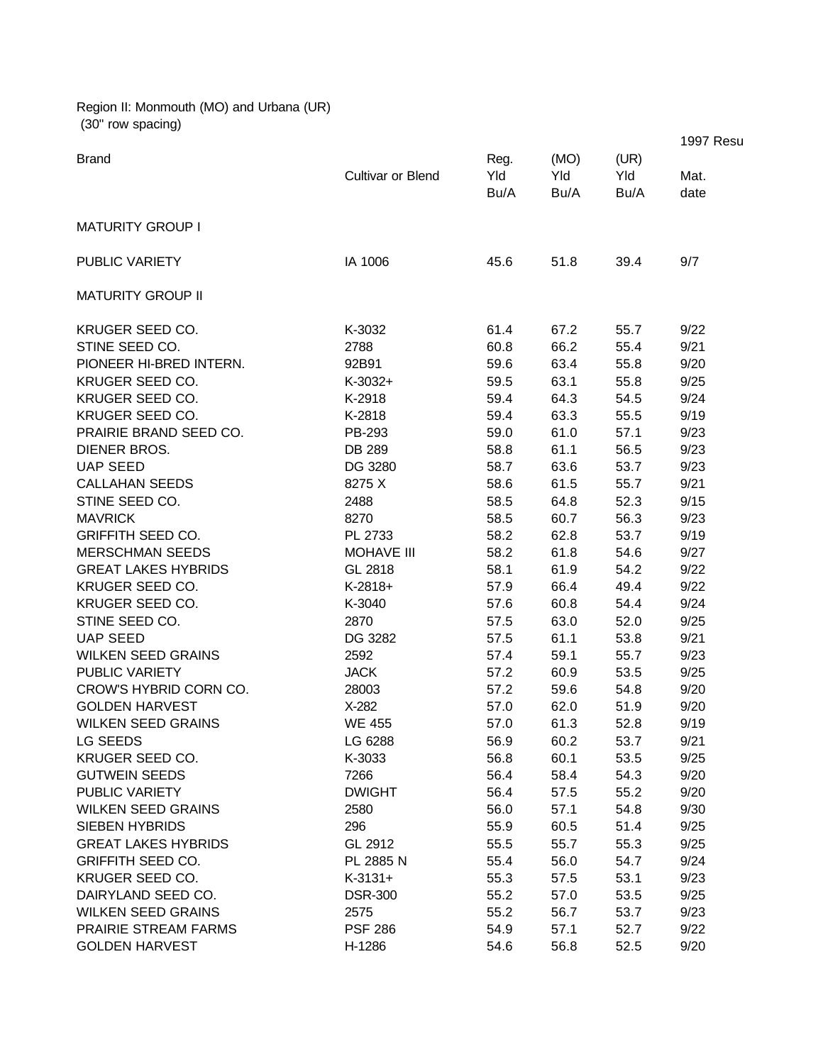Region II: Monmouth (MO) and Urbana (UR) (30" row spacing)

|                            |                          |                     |                     |                     | <b>1997 Resu</b> |
|----------------------------|--------------------------|---------------------|---------------------|---------------------|------------------|
| <b>Brand</b>               | <b>Cultivar or Blend</b> | Reg.<br>Yld<br>Bu/A | (MO)<br>Yld<br>Bu/A | (UR)<br>Yld<br>Bu/A | Mat.<br>date     |
| <b>MATURITY GROUP I</b>    |                          |                     |                     |                     |                  |
| PUBLIC VARIETY             | IA 1006                  | 45.6                | 51.8                | 39.4                | 9/7              |
| <b>MATURITY GROUP II</b>   |                          |                     |                     |                     |                  |
| KRUGER SEED CO.            | K-3032                   | 61.4                | 67.2                | 55.7                | 9/22             |
| STINE SEED CO.             | 2788                     | 60.8                | 66.2                | 55.4                | 9/21             |
| PIONEER HI-BRED INTERN.    | 92B91                    | 59.6                | 63.4                | 55.8                | 9/20             |
| KRUGER SEED CO.            | $K-3032+$                | 59.5                | 63.1                | 55.8                | 9/25             |
| KRUGER SEED CO.            | K-2918                   | 59.4                | 64.3                | 54.5                | 9/24             |
| KRUGER SEED CO.            | K-2818                   | 59.4                | 63.3                | 55.5                | 9/19             |
| PRAIRIE BRAND SEED CO.     | PB-293                   | 59.0                | 61.0                | 57.1                | 9/23             |
| DIENER BROS.               | DB 289                   | 58.8                | 61.1                | 56.5                | 9/23             |
| <b>UAP SEED</b>            | DG 3280                  | 58.7                | 63.6                | 53.7                | 9/23             |
| <b>CALLAHAN SEEDS</b>      | 8275 X                   | 58.6                | 61.5                | 55.7                | 9/21             |
| STINE SEED CO.             | 2488                     | 58.5                | 64.8                | 52.3                | 9/15             |
| <b>MAVRICK</b>             | 8270                     | 58.5                | 60.7                | 56.3                | 9/23             |
| <b>GRIFFITH SEED CO.</b>   | PL 2733                  | 58.2                | 62.8                | 53.7                | 9/19             |
| <b>MERSCHMAN SEEDS</b>     | <b>MOHAVE III</b>        | 58.2                | 61.8                | 54.6                | 9/27             |
| <b>GREAT LAKES HYBRIDS</b> | GL 2818                  | 58.1                | 61.9                | 54.2                | 9/22             |
| KRUGER SEED CO.            | K-2818+                  | 57.9                | 66.4                | 49.4                | 9/22             |
| KRUGER SEED CO.            | K-3040                   | 57.6                | 60.8                | 54.4                | 9/24             |
| STINE SEED CO.             | 2870                     | 57.5                | 63.0                | 52.0                | 9/25             |
| <b>UAP SEED</b>            | DG 3282                  | 57.5                | 61.1                | 53.8                | 9/21             |
| <b>WILKEN SEED GRAINS</b>  | 2592                     | 57.4                | 59.1                | 55.7                | 9/23             |
| PUBLIC VARIETY             | <b>JACK</b>              | 57.2                | 60.9                | 53.5                | 9/25             |
| CROW'S HYBRID CORN CO.     | 28003                    | 57.2                | 59.6                | 54.8                | 9/20             |
| <b>GOLDEN HARVEST</b>      | X-282                    | 57.0                | 62.0                | 51.9                | 9/20             |
| <b>WILKEN SEED GRAINS</b>  | <b>WE 455</b>            | 57.0                | 61.3                | 52.8                | 9/19             |
| LG SEEDS                   | LG 6288                  | 56.9                | 60.2                | 53.7                | 9/21             |
| KRUGER SEED CO.            | K-3033                   | 56.8                | 60.1                | 53.5                | 9/25             |
| <b>GUTWEIN SEEDS</b>       | 7266                     | 56.4                | 58.4                | 54.3                | 9/20             |
| PUBLIC VARIETY             | <b>DWIGHT</b>            | 56.4                | 57.5                | 55.2                | 9/20             |
| <b>WILKEN SEED GRAINS</b>  | 2580                     | 56.0                | 57.1                | 54.8                | 9/30             |
| <b>SIEBEN HYBRIDS</b>      | 296                      | 55.9                | 60.5                | 51.4                | 9/25             |
| <b>GREAT LAKES HYBRIDS</b> | GL 2912                  | 55.5                | 55.7                | 55.3                | 9/25             |
| <b>GRIFFITH SEED CO.</b>   | PL 2885 N                | 55.4                | 56.0                | 54.7                | 9/24             |
| KRUGER SEED CO.            | $K-3131+$                | 55.3                | 57.5                | 53.1                | 9/23             |
| DAIRYLAND SEED CO.         | <b>DSR-300</b>           | 55.2                | 57.0                | 53.5                | 9/25             |
| <b>WILKEN SEED GRAINS</b>  | 2575                     | 55.2                | 56.7                | 53.7                | 9/23             |
| PRAIRIE STREAM FARMS       | <b>PSF 286</b>           | 54.9                | 57.1                | 52.7                | 9/22             |
| <b>GOLDEN HARVEST</b>      | H-1286                   | 54.6                | 56.8                | 52.5                | 9/20             |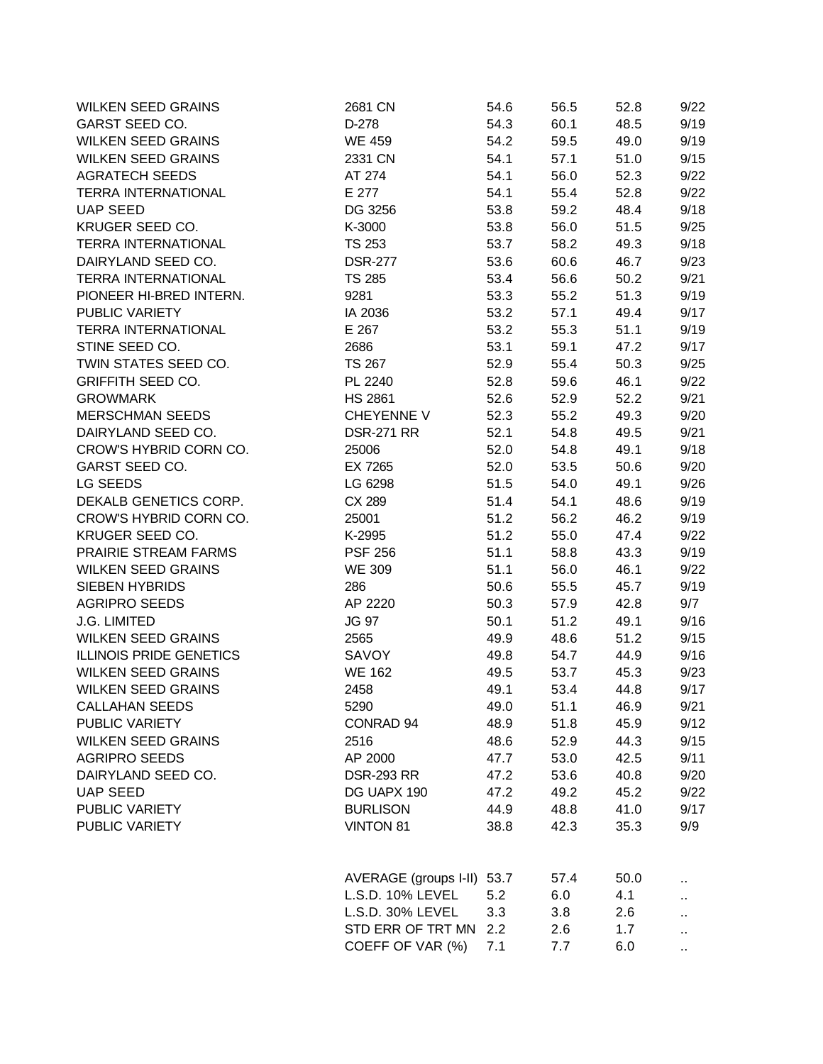| <b>WILKEN SEED GRAINS</b>      | 2681 CN                    | 54.6 | 56.5 | 52.8 | 9/22                 |
|--------------------------------|----------------------------|------|------|------|----------------------|
| <b>GARST SEED CO.</b>          | D-278                      | 54.3 | 60.1 | 48.5 | 9/19                 |
| <b>WILKEN SEED GRAINS</b>      | <b>WE 459</b>              | 54.2 | 59.5 | 49.0 | 9/19                 |
| <b>WILKEN SEED GRAINS</b>      | 2331 CN                    | 54.1 | 57.1 | 51.0 | 9/15                 |
| <b>AGRATECH SEEDS</b>          | AT 274                     | 54.1 | 56.0 | 52.3 | 9/22                 |
| <b>TERRA INTERNATIONAL</b>     | E 277                      | 54.1 | 55.4 | 52.8 | 9/22                 |
| <b>UAP SEED</b>                | DG 3256                    | 53.8 | 59.2 | 48.4 | 9/18                 |
| KRUGER SEED CO.                | K-3000                     | 53.8 | 56.0 | 51.5 | 9/25                 |
| <b>TERRA INTERNATIONAL</b>     | <b>TS 253</b>              | 53.7 | 58.2 | 49.3 | 9/18                 |
| DAIRYLAND SEED CO.             | <b>DSR-277</b>             | 53.6 | 60.6 | 46.7 | 9/23                 |
| <b>TERRA INTERNATIONAL</b>     | <b>TS 285</b>              | 53.4 | 56.6 | 50.2 | 9/21                 |
| PIONEER HI-BRED INTERN.        | 9281                       | 53.3 | 55.2 | 51.3 | 9/19                 |
| PUBLIC VARIETY                 | IA 2036                    | 53.2 | 57.1 | 49.4 | 9/17                 |
| <b>TERRA INTERNATIONAL</b>     | E 267                      | 53.2 | 55.3 | 51.1 | 9/19                 |
| STINE SEED CO.                 | 2686                       | 53.1 | 59.1 | 47.2 | 9/17                 |
| TWIN STATES SEED CO.           | <b>TS 267</b>              | 52.9 | 55.4 | 50.3 | 9/25                 |
| <b>GRIFFITH SEED CO.</b>       | PL 2240                    | 52.8 | 59.6 | 46.1 | 9/22                 |
| <b>GROWMARK</b>                | <b>HS 2861</b>             | 52.6 | 52.9 | 52.2 | 9/21                 |
| <b>MERSCHMAN SEEDS</b>         | CHEYENNE V                 | 52.3 | 55.2 | 49.3 | 9/20                 |
| DAIRYLAND SEED CO.             | <b>DSR-271 RR</b>          | 52.1 | 54.8 | 49.5 | 9/21                 |
| CROW'S HYBRID CORN CO.         | 25006                      | 52.0 | 54.8 | 49.1 | 9/18                 |
| <b>GARST SEED CO.</b>          | EX 7265                    | 52.0 | 53.5 | 50.6 | 9/20                 |
| LG SEEDS                       | LG 6298                    | 51.5 | 54.0 | 49.1 | 9/26                 |
| DEKALB GENETICS CORP.          | CX 289                     | 51.4 | 54.1 | 48.6 | 9/19                 |
| CROW'S HYBRID CORN CO.         | 25001                      | 51.2 | 56.2 | 46.2 | 9/19                 |
| KRUGER SEED CO.                | K-2995                     | 51.2 | 55.0 | 47.4 | 9/22                 |
| PRAIRIE STREAM FARMS           | <b>PSF 256</b>             | 51.1 | 58.8 | 43.3 | 9/19                 |
| <b>WILKEN SEED GRAINS</b>      | <b>WE 309</b>              | 51.1 | 56.0 | 46.1 | 9/22                 |
| SIEBEN HYBRIDS                 | 286                        | 50.6 | 55.5 | 45.7 | 9/19                 |
| <b>AGRIPRO SEEDS</b>           | AP 2220                    | 50.3 | 57.9 | 42.8 | 9/7                  |
| J.G. LIMITED                   | <b>JG 97</b>               | 50.1 | 51.2 | 49.1 | 9/16                 |
| <b>WILKEN SEED GRAINS</b>      | 2565                       | 49.9 | 48.6 | 51.2 | 9/15                 |
| <b>ILLINOIS PRIDE GENETICS</b> | SAVOY                      | 49.8 | 54.7 | 44.9 | 9/16                 |
| <b>WILKEN SEED GRAINS</b>      | <b>WE 162</b>              | 49.5 | 53.7 | 45.3 | 9/23                 |
| <b>WILKEN SEED GRAINS</b>      | 2458                       | 49.1 | 53.4 | 44.8 | 9/17                 |
| <b>CALLAHAN SEEDS</b>          | 5290                       | 49.0 | 51.1 | 46.9 | 9/21                 |
| PUBLIC VARIETY                 | CONRAD 94                  | 48.9 | 51.8 | 45.9 | 9/12                 |
| <b>WILKEN SEED GRAINS</b>      | 2516                       | 48.6 | 52.9 | 44.3 | 9/15                 |
| <b>AGRIPRO SEEDS</b>           | AP 2000                    | 47.7 | 53.0 | 42.5 | 9/11                 |
| DAIRYLAND SEED CO.             | <b>DSR-293 RR</b>          | 47.2 | 53.6 | 40.8 | 9/20                 |
| <b>UAP SEED</b>                | DG UAPX 190                | 47.2 | 49.2 | 45.2 | 9/22                 |
| PUBLIC VARIETY                 | <b>BURLISON</b>            | 44.9 | 48.8 | 41.0 | 9/17                 |
| PUBLIC VARIETY                 | <b>VINTON 81</b>           | 38.8 | 42.3 | 35.3 | 9/9                  |
|                                |                            |      |      |      |                      |
|                                | AVERAGE (groups I-II) 53.7 |      | 57.4 | 50.0 |                      |
|                                | L.S.D. 10% LEVEL           | 5.2  | 6.0  | 4.1  |                      |
|                                | L.S.D. 30% LEVEL           | 3.3  | 3.8  | 2.6  |                      |
|                                | STD ERR OF TRT MN          | 2.2  | 2.6  | 1.7  | н,                   |
|                                | COEFF OF VAR (%)           | 7.1  | 7.7  | 6.0  | $\ddot{\phantom{1}}$ |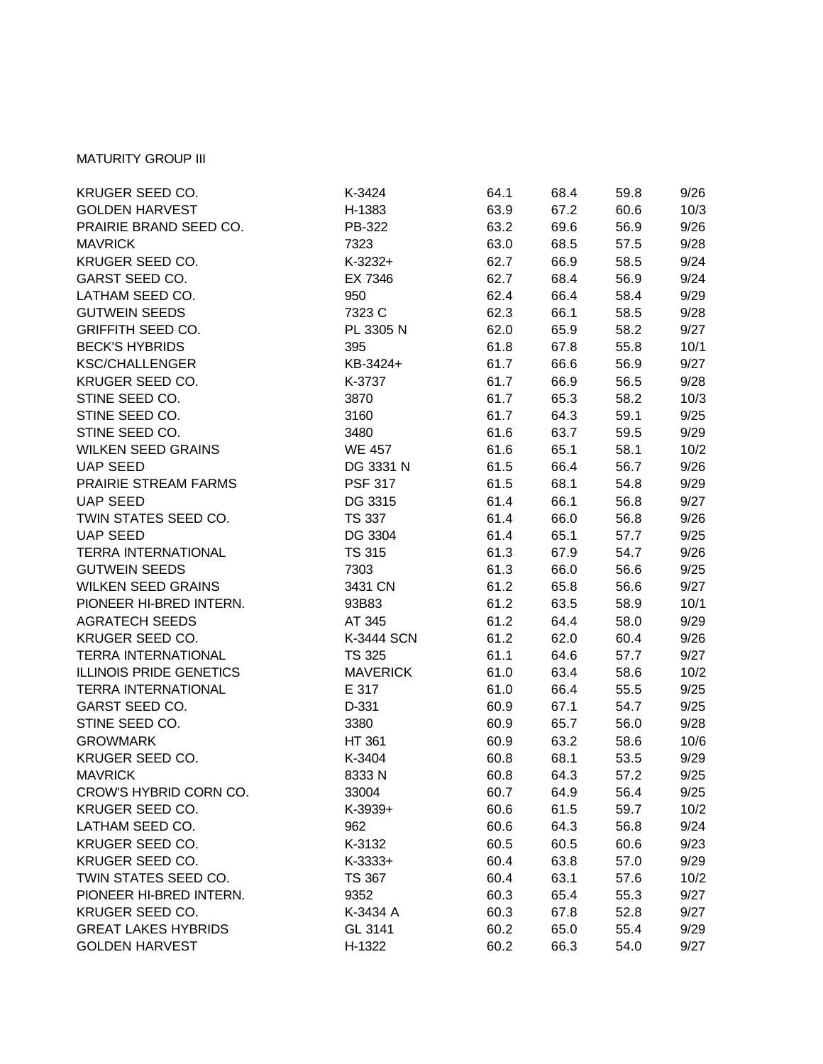## **MATURITY GROUP III**

| KRUGER SEED CO.                | K-3424          | 64.1 | 68.4 | 59.8 | 9/26 |
|--------------------------------|-----------------|------|------|------|------|
| <b>GOLDEN HARVEST</b>          | H-1383          | 63.9 | 67.2 | 60.6 | 10/3 |
| PRAIRIE BRAND SEED CO.         | PB-322          | 63.2 | 69.6 | 56.9 | 9/26 |
| <b>MAVRICK</b>                 | 7323            | 63.0 | 68.5 | 57.5 | 9/28 |
| KRUGER SEED CO.                | K-3232+         | 62.7 | 66.9 | 58.5 | 9/24 |
| <b>GARST SEED CO.</b>          | EX 7346         | 62.7 | 68.4 | 56.9 | 9/24 |
| LATHAM SEED CO.                | 950             | 62.4 | 66.4 | 58.4 | 9/29 |
| <b>GUTWEIN SEEDS</b>           | 7323 C          | 62.3 | 66.1 | 58.5 | 9/28 |
| <b>GRIFFITH SEED CO.</b>       | PL 3305 N       | 62.0 | 65.9 | 58.2 | 9/27 |
| <b>BECK'S HYBRIDS</b>          | 395             | 61.8 | 67.8 | 55.8 | 10/1 |
| <b>KSC/CHALLENGER</b>          | KB-3424+        | 61.7 | 66.6 | 56.9 | 9/27 |
| KRUGER SEED CO.                | K-3737          | 61.7 | 66.9 | 56.5 | 9/28 |
| STINE SEED CO.                 | 3870            | 61.7 | 65.3 | 58.2 | 10/3 |
| STINE SEED CO.                 | 3160            | 61.7 | 64.3 | 59.1 | 9/25 |
| STINE SEED CO.                 | 3480            | 61.6 | 63.7 | 59.5 | 9/29 |
| <b>WILKEN SEED GRAINS</b>      | <b>WE 457</b>   | 61.6 | 65.1 | 58.1 | 10/2 |
| <b>UAP SEED</b>                | DG 3331 N       | 61.5 | 66.4 | 56.7 | 9/26 |
| PRAIRIE STREAM FARMS           | <b>PSF 317</b>  | 61.5 | 68.1 | 54.8 | 9/29 |
| <b>UAP SEED</b>                | DG 3315         | 61.4 | 66.1 | 56.8 | 9/27 |
| TWIN STATES SEED CO.           | <b>TS 337</b>   | 61.4 | 66.0 | 56.8 | 9/26 |
| <b>UAP SEED</b>                | DG 3304         | 61.4 | 65.1 | 57.7 | 9/25 |
| <b>TERRA INTERNATIONAL</b>     | <b>TS 315</b>   | 61.3 | 67.9 | 54.7 | 9/26 |
| <b>GUTWEIN SEEDS</b>           | 7303            | 61.3 | 66.0 | 56.6 | 9/25 |
| <b>WILKEN SEED GRAINS</b>      | 3431 CN         | 61.2 | 65.8 | 56.6 | 9/27 |
| PIONEER HI-BRED INTERN.        | 93B83           | 61.2 | 63.5 | 58.9 | 10/1 |
| <b>AGRATECH SEEDS</b>          | AT 345          | 61.2 | 64.4 | 58.0 | 9/29 |
| KRUGER SEED CO.                | K-3444 SCN      | 61.2 | 62.0 | 60.4 | 9/26 |
| <b>TERRA INTERNATIONAL</b>     | <b>TS 325</b>   | 61.1 | 64.6 | 57.7 | 9/27 |
| <b>ILLINOIS PRIDE GENETICS</b> | <b>MAVERICK</b> | 61.0 | 63.4 | 58.6 | 10/2 |
| <b>TERRA INTERNATIONAL</b>     | E 317           | 61.0 | 66.4 | 55.5 | 9/25 |
| <b>GARST SEED CO.</b>          | D-331           | 60.9 | 67.1 | 54.7 | 9/25 |
| STINE SEED CO.                 | 3380            | 60.9 | 65.7 | 56.0 | 9/28 |
| <b>GROWMARK</b>                | HT 361          | 60.9 | 63.2 | 58.6 | 10/6 |
| KRUGER SEED CO.                | K-3404          | 60.8 | 68.1 | 53.5 | 9/29 |
| <b>MAVRICK</b>                 | 8333 N          | 60.8 | 64.3 | 57.2 | 9/25 |
| CROW'S HYBRID CORN CO.         | 33004           | 60.7 | 64.9 | 56.4 | 9/25 |
| KRUGER SEED CO.                | $K-3939+$       | 60.6 | 61.5 | 59.7 | 10/2 |
| LATHAM SEED CO.                | 962             | 60.6 | 64.3 | 56.8 | 9/24 |
| KRUGER SEED CO.                | K-3132          | 60.5 | 60.5 | 60.6 | 9/23 |
| KRUGER SEED CO.                | $K-3333+$       | 60.4 | 63.8 | 57.0 | 9/29 |
| TWIN STATES SEED CO.           | TS 367          | 60.4 | 63.1 | 57.6 | 10/2 |
| PIONEER HI-BRED INTERN.        | 9352            | 60.3 | 65.4 | 55.3 | 9/27 |
| KRUGER SEED CO.                | K-3434 A        | 60.3 | 67.8 | 52.8 | 9/27 |
| <b>GREAT LAKES HYBRIDS</b>     | GL 3141         | 60.2 | 65.0 | 55.4 | 9/29 |
| <b>GOLDEN HARVEST</b>          | H-1322          | 60.2 | 66.3 | 54.0 | 9/27 |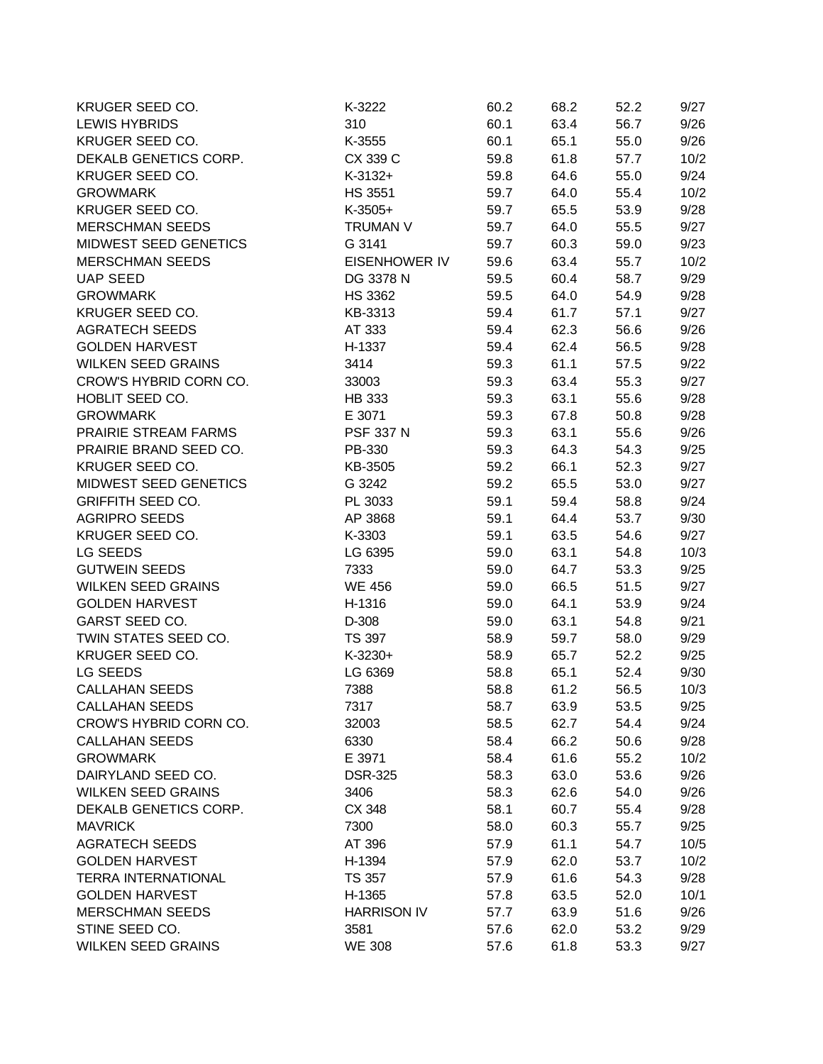| KRUGER SEED CO.            | K-3222               | 60.2 | 68.2 | 52.2 | 9/27 |
|----------------------------|----------------------|------|------|------|------|
| <b>LEWIS HYBRIDS</b>       | 310                  | 60.1 | 63.4 | 56.7 | 9/26 |
| KRUGER SEED CO.            | K-3555               | 60.1 | 65.1 | 55.0 | 9/26 |
| DEKALB GENETICS CORP.      | CX 339 C             | 59.8 | 61.8 | 57.7 | 10/2 |
| KRUGER SEED CO.            | K-3132+              | 59.8 | 64.6 | 55.0 | 9/24 |
| <b>GROWMARK</b>            | <b>HS 3551</b>       | 59.7 | 64.0 | 55.4 | 10/2 |
| KRUGER SEED CO.            | $K-3505+$            | 59.7 | 65.5 | 53.9 | 9/28 |
| <b>MERSCHMAN SEEDS</b>     | <b>TRUMAN V</b>      | 59.7 | 64.0 | 55.5 | 9/27 |
| MIDWEST SEED GENETICS      | G 3141               | 59.7 | 60.3 | 59.0 | 9/23 |
| <b>MERSCHMAN SEEDS</b>     | <b>EISENHOWER IV</b> | 59.6 | 63.4 | 55.7 | 10/2 |
| <b>UAP SEED</b>            | DG 3378 N            | 59.5 | 60.4 | 58.7 | 9/29 |
| <b>GROWMARK</b>            | <b>HS 3362</b>       | 59.5 | 64.0 | 54.9 | 9/28 |
| KRUGER SEED CO.            | KB-3313              | 59.4 | 61.7 | 57.1 | 9/27 |
| <b>AGRATECH SEEDS</b>      | AT 333               | 59.4 | 62.3 | 56.6 | 9/26 |
| <b>GOLDEN HARVEST</b>      | H-1337               | 59.4 | 62.4 | 56.5 | 9/28 |
| <b>WILKEN SEED GRAINS</b>  | 3414                 | 59.3 | 61.1 | 57.5 | 9/22 |
| CROW'S HYBRID CORN CO.     | 33003                | 59.3 | 63.4 | 55.3 | 9/27 |
| HOBLIT SEED CO.            | HB 333               | 59.3 | 63.1 | 55.6 | 9/28 |
| <b>GROWMARK</b>            | E 3071               | 59.3 | 67.8 | 50.8 | 9/28 |
| PRAIRIE STREAM FARMS       | <b>PSF 337 N</b>     | 59.3 | 63.1 | 55.6 | 9/26 |
| PRAIRIE BRAND SEED CO.     | PB-330               | 59.3 | 64.3 | 54.3 | 9/25 |
| KRUGER SEED CO.            | KB-3505              | 59.2 | 66.1 | 52.3 | 9/27 |
| MIDWEST SEED GENETICS      | G 3242               | 59.2 | 65.5 | 53.0 | 9/27 |
| <b>GRIFFITH SEED CO.</b>   | PL 3033              | 59.1 | 59.4 |      | 9/24 |
| <b>AGRIPRO SEEDS</b>       |                      |      |      | 58.8 |      |
|                            | AP 3868              | 59.1 | 64.4 | 53.7 | 9/30 |
| KRUGER SEED CO.            | K-3303               | 59.1 | 63.5 | 54.6 | 9/27 |
| LG SEEDS                   | LG 6395              | 59.0 | 63.1 | 54.8 | 10/3 |
| <b>GUTWEIN SEEDS</b>       | 7333                 | 59.0 | 64.7 | 53.3 | 9/25 |
| <b>WILKEN SEED GRAINS</b>  | <b>WE 456</b>        | 59.0 | 66.5 | 51.5 | 9/27 |
| <b>GOLDEN HARVEST</b>      | H-1316               | 59.0 | 64.1 | 53.9 | 9/24 |
| <b>GARST SEED CO.</b>      | D-308                | 59.0 | 63.1 | 54.8 | 9/21 |
| TWIN STATES SEED CO.       | <b>TS 397</b>        | 58.9 | 59.7 | 58.0 | 9/29 |
| KRUGER SEED CO.            | $K-3230+$            | 58.9 | 65.7 | 52.2 | 9/25 |
| LG SEEDS                   | LG 6369              | 58.8 | 65.1 | 52.4 | 9/30 |
| <b>CALLAHAN SEEDS</b>      | 7388                 | 58.8 | 61.2 | 56.5 | 10/3 |
| <b>CALLAHAN SEEDS</b>      | 7317                 | 58.7 | 63.9 | 53.5 | 9/25 |
| CROW'S HYBRID CORN CO.     | 32003                | 58.5 | 62.7 | 54.4 | 9/24 |
| <b>CALLAHAN SEEDS</b>      | 6330                 | 58.4 | 66.2 | 50.6 | 9/28 |
| <b>GROWMARK</b>            | E 3971               | 58.4 | 61.6 | 55.2 | 10/2 |
| DAIRYLAND SEED CO.         | <b>DSR-325</b>       | 58.3 | 63.0 | 53.6 | 9/26 |
| <b>WILKEN SEED GRAINS</b>  | 3406                 | 58.3 | 62.6 | 54.0 | 9/26 |
| DEKALB GENETICS CORP.      | CX 348               | 58.1 | 60.7 | 55.4 | 9/28 |
| <b>MAVRICK</b>             | 7300                 | 58.0 | 60.3 | 55.7 | 9/25 |
| <b>AGRATECH SEEDS</b>      | AT 396               | 57.9 | 61.1 | 54.7 | 10/5 |
| <b>GOLDEN HARVEST</b>      | H-1394               | 57.9 | 62.0 | 53.7 | 10/2 |
| <b>TERRA INTERNATIONAL</b> | <b>TS 357</b>        | 57.9 | 61.6 | 54.3 | 9/28 |
| <b>GOLDEN HARVEST</b>      | H-1365               | 57.8 | 63.5 | 52.0 | 10/1 |
| <b>MERSCHMAN SEEDS</b>     | <b>HARRISON IV</b>   | 57.7 | 63.9 | 51.6 | 9/26 |
| STINE SEED CO.             | 3581                 | 57.6 | 62.0 | 53.2 | 9/29 |
| <b>WILKEN SEED GRAINS</b>  | <b>WE 308</b>        | 57.6 | 61.8 | 53.3 | 9/27 |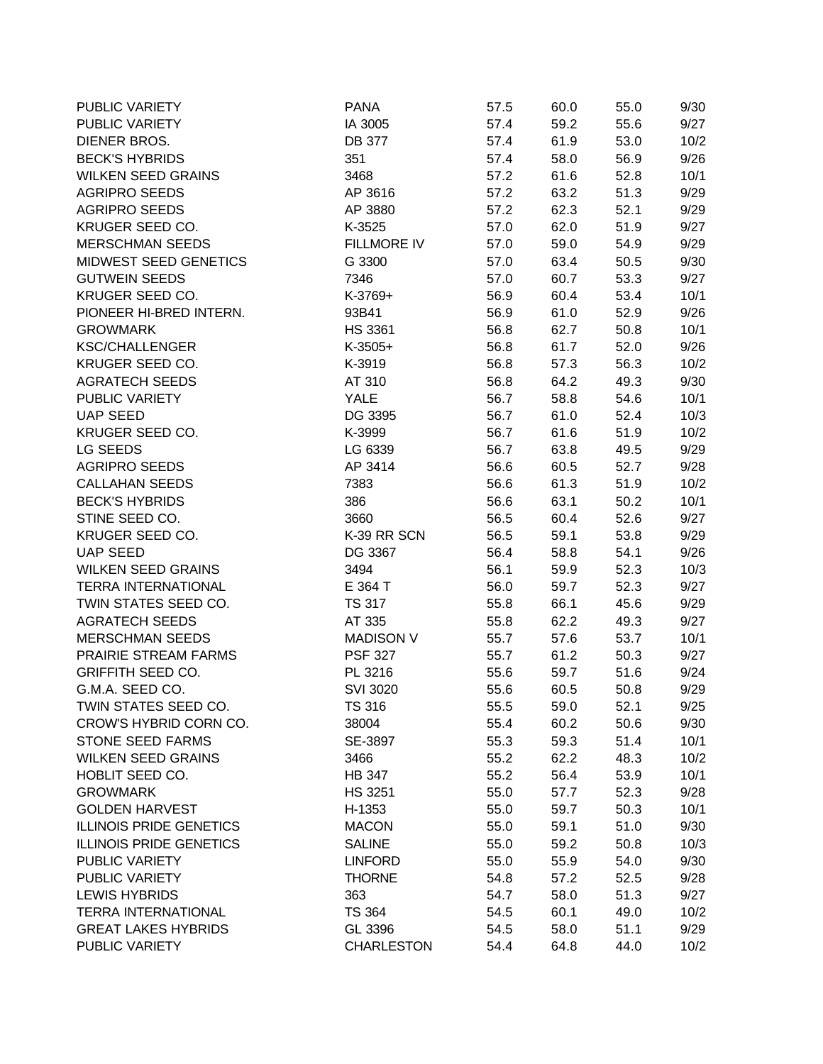| PUBLIC VARIETY                 | <b>PANA</b>       | 57.5         | 60.0         | 55.0         | 9/30         |
|--------------------------------|-------------------|--------------|--------------|--------------|--------------|
| PUBLIC VARIETY                 | IA 3005           | 57.4         | 59.2         | 55.6         | 9/27         |
| DIENER BROS.                   | DB 377            | 57.4         | 61.9         | 53.0         | 10/2         |
| <b>BECK'S HYBRIDS</b>          | 351               | 57.4         | 58.0         | 56.9         | 9/26         |
| <b>WILKEN SEED GRAINS</b>      | 3468              | 57.2         | 61.6         | 52.8         | 10/1         |
| <b>AGRIPRO SEEDS</b>           | AP 3616           | 57.2         | 63.2         | 51.3         | 9/29         |
| <b>AGRIPRO SEEDS</b>           | AP 3880           | 57.2         | 62.3         | 52.1         | 9/29         |
| KRUGER SEED CO.                | K-3525            | 57.0         | 62.0         | 51.9         | 9/27         |
| <b>MERSCHMAN SEEDS</b>         | FILLMORE IV       | 57.0         | 59.0         | 54.9         | 9/29         |
| MIDWEST SEED GENETICS          | G 3300            | 57.0         | 63.4         | 50.5         | 9/30         |
| <b>GUTWEIN SEEDS</b>           | 7346              | 57.0         | 60.7         | 53.3         | 9/27         |
| KRUGER SEED CO.                | K-3769+           | 56.9         | 60.4         | 53.4         | 10/1         |
| PIONEER HI-BRED INTERN.        | 93B41             | 56.9         | 61.0         | 52.9         | 9/26         |
| <b>GROWMARK</b>                | <b>HS 3361</b>    | 56.8         | 62.7         | 50.8         | 10/1         |
| <b>KSC/CHALLENGER</b>          | K-3505+           | 56.8         | 61.7         | 52.0         | 9/26         |
| KRUGER SEED CO.                | K-3919            | 56.8         | 57.3         | 56.3         | 10/2         |
| <b>AGRATECH SEEDS</b>          | AT 310            | 56.8         | 64.2         | 49.3         | 9/30         |
| PUBLIC VARIETY                 | <b>YALE</b>       | 56.7         | 58.8         | 54.6         | 10/1         |
| <b>UAP SEED</b>                | DG 3395           | 56.7         | 61.0         | 52.4         | 10/3         |
| KRUGER SEED CO.                | K-3999            | 56.7         | 61.6         | 51.9         | 10/2         |
| LG SEEDS                       | LG 6339           | 56.7         | 63.8         | 49.5         | 9/29         |
| <b>AGRIPRO SEEDS</b>           | AP 3414           | 56.6         | 60.5         | 52.7         | 9/28         |
| <b>CALLAHAN SEEDS</b>          | 7383              | 56.6         | 61.3         | 51.9         | 10/2         |
| <b>BECK'S HYBRIDS</b>          | 386               | 56.6         | 63.1         | 50.2         | 10/1         |
| STINE SEED CO.                 | 3660              | 56.5         | 60.4         | 52.6         | 9/27         |
| KRUGER SEED CO.                | K-39 RR SCN       | 56.5         | 59.1         | 53.8         | 9/29         |
| <b>UAP SEED</b>                | DG 3367           | 56.4         | 58.8         | 54.1         | 9/26         |
| <b>WILKEN SEED GRAINS</b>      | 3494              | 56.1         | 59.9         | 52.3         | 10/3         |
| <b>TERRA INTERNATIONAL</b>     | E 364 T           | 56.0         | 59.7         | 52.3         | 9/27         |
| TWIN STATES SEED CO.           | <b>TS 317</b>     | 55.8         | 66.1         | 45.6         | 9/29         |
| <b>AGRATECH SEEDS</b>          | AT 335            | 55.8         | 62.2         | 49.3         | 9/27         |
| <b>MERSCHMAN SEEDS</b>         | <b>MADISON V</b>  | 55.7         | 57.6         | 53.7         | 10/1         |
| PRAIRIE STREAM FARMS           | <b>PSF 327</b>    | 55.7         | 61.2         | 50.3         | 9/27         |
| <b>GRIFFITH SEED CO.</b>       | PL 3216           | 55.6         | 59.7         | 51.6         | 9/24         |
| G.M.A. SEED CO.                | SVI 3020          | 55.6         | 60.5         | 50.8         | 9/29         |
| TWIN STATES SEED CO.           | TS 316            | 55.5         | 59.0         | 52.1         | 9/25         |
| CROW'S HYBRID CORN CO.         | 38004             | 55.4         | 60.2         | 50.6         | 9/30         |
| <b>STONE SEED FARMS</b>        | SE-3897           | 55.3         | 59.3         | 51.4         | 10/1         |
| <b>WILKEN SEED GRAINS</b>      | 3466              | 55.2         | 62.2         | 48.3         | 10/2         |
| HOBLIT SEED CO.                | <b>HB 347</b>     | 55.2         | 56.4         | 53.9         | 10/1         |
| <b>GROWMARK</b>                | HS 3251           | 55.0         | 57.7         | 52.3         | 9/28         |
| <b>GOLDEN HARVEST</b>          | H-1353            | 55.0         | 59.7         | 50.3         | 10/1         |
| <b>ILLINOIS PRIDE GENETICS</b> | <b>MACON</b>      | 55.0         | 59.1         | 51.0         | 9/30         |
| <b>ILLINOIS PRIDE GENETICS</b> | <b>SALINE</b>     | 55.0         | 59.2         | 50.8         | 10/3         |
| PUBLIC VARIETY                 | <b>LINFORD</b>    | 55.0         | 55.9         | 54.0         | 9/30         |
| PUBLIC VARIETY                 | <b>THORNE</b>     |              |              |              |              |
| <b>LEWIS HYBRIDS</b>           | 363               | 54.8         | 57.2         | 52.5<br>51.3 | 9/28<br>9/27 |
| <b>TERRA INTERNATIONAL</b>     | <b>TS 364</b>     | 54.7<br>54.5 | 58.0<br>60.1 | 49.0         |              |
| <b>GREAT LAKES HYBRIDS</b>     | GL 3396           | 54.5         | 58.0         | 51.1         | 10/2<br>9/29 |
|                                |                   |              |              |              |              |
| PUBLIC VARIETY                 | <b>CHARLESTON</b> | 54.4         | 64.8         | 44.0         | 10/2         |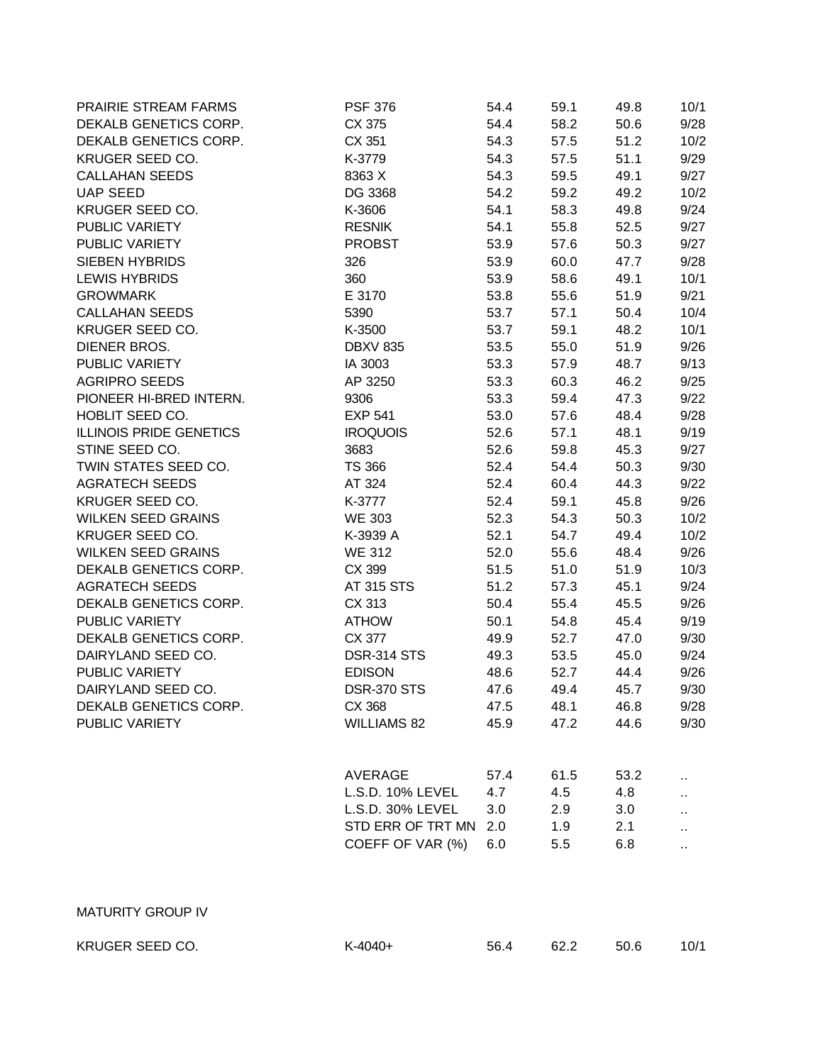|                                | <b>PSF 376</b>        | 54.4 | 59.1 | 49.8 | 10/1 |
|--------------------------------|-----------------------|------|------|------|------|
| DEKALB GENETICS CORP.          | CX 375                | 54.4 | 58.2 | 50.6 | 9/28 |
| DEKALB GENETICS CORP.          | CX 351                | 54.3 | 57.5 | 51.2 | 10/2 |
| KRUGER SEED CO.                | K-3779                | 54.3 | 57.5 | 51.1 | 9/29 |
| <b>CALLAHAN SEEDS</b>          | 8363 X                | 54.3 | 59.5 | 49.1 | 9/27 |
| <b>UAP SEED</b>                | DG 3368               | 54.2 | 59.2 | 49.2 | 10/2 |
| KRUGER SEED CO.                | K-3606                | 54.1 | 58.3 | 49.8 | 9/24 |
| PUBLIC VARIETY                 | <b>RESNIK</b>         | 54.1 | 55.8 | 52.5 | 9/27 |
| PUBLIC VARIETY                 | <b>PROBST</b>         | 53.9 | 57.6 | 50.3 | 9/27 |
| SIEBEN HYBRIDS                 | 326                   | 53.9 | 60.0 | 47.7 | 9/28 |
| <b>LEWIS HYBRIDS</b>           | 360                   | 53.9 | 58.6 | 49.1 | 10/1 |
| <b>GROWMARK</b>                | E 3170                | 53.8 | 55.6 | 51.9 | 9/21 |
| <b>CALLAHAN SEEDS</b>          | 5390                  | 53.7 | 57.1 | 50.4 | 10/4 |
| KRUGER SEED CO.                | K-3500                | 53.7 | 59.1 | 48.2 | 10/1 |
| <b>DIENER BROS.</b>            | DBXV 835              | 53.5 | 55.0 | 51.9 | 9/26 |
| PUBLIC VARIETY                 | IA 3003               | 53.3 | 57.9 | 48.7 | 9/13 |
| <b>AGRIPRO SEEDS</b>           | AP 3250               | 53.3 | 60.3 | 46.2 | 9/25 |
| PIONEER HI-BRED INTERN.        | 9306                  | 53.3 | 59.4 | 47.3 | 9/22 |
| HOBLIT SEED CO.                | <b>EXP 541</b>        | 53.0 | 57.6 | 48.4 | 9/28 |
| <b>ILLINOIS PRIDE GENETICS</b> | <b>IROQUOIS</b>       | 52.6 | 57.1 | 48.1 | 9/19 |
| STINE SEED CO.                 | 3683                  | 52.6 | 59.8 | 45.3 | 9/27 |
| TWIN STATES SEED CO.           | TS 366                | 52.4 | 54.4 | 50.3 | 9/30 |
| <b>AGRATECH SEEDS</b>          | AT 324                | 52.4 | 60.4 | 44.3 | 9/22 |
| KRUGER SEED CO.                | K-3777                | 52.4 | 59.1 | 45.8 | 9/26 |
| <b>WILKEN SEED GRAINS</b>      | <b>WE 303</b>         | 52.3 | 54.3 | 50.3 | 10/2 |
| KRUGER SEED CO.                | K-3939 A              | 52.1 | 54.7 | 49.4 | 10/2 |
| <b>WILKEN SEED GRAINS</b>      | <b>WE 312</b>         | 52.0 | 55.6 | 48.4 | 9/26 |
| DEKALB GENETICS CORP.          | CX 399                | 51.5 | 51.0 | 51.9 | 10/3 |
| <b>AGRATECH SEEDS</b>          | AT 315 STS            | 51.2 | 57.3 | 45.1 | 9/24 |
| DEKALB GENETICS CORP.          | CX 313                | 50.4 | 55.4 | 45.5 | 9/26 |
| PUBLIC VARIETY                 | <b>ATHOW</b>          | 50.1 | 54.8 | 45.4 | 9/19 |
| DEKALB GENETICS CORP.          | CX 377                | 49.9 | 52.7 | 47.0 | 9/30 |
| DAIRYLAND SEED CO.             | DSR-314 STS           | 49.3 | 53.5 | 45.0 | 9/24 |
| PUBLIC VARIETY                 | <b>EDISON</b>         | 48.6 | 52.7 | 44.4 | 9/26 |
| DAIRYLAND SEED CO.             | DSR-370 STS           | 47.6 | 49.4 | 45.7 | 9/30 |
| DEKALB GENETICS CORP.          | CX 368                | 47.5 | 48.1 | 46.8 | 9/28 |
| PUBLIC VARIETY                 | <b>WILLIAMS 82</b>    | 45.9 | 47.2 | 44.6 | 9/30 |
|                                |                       |      |      |      |      |
|                                | <b>AVERAGE</b>        | 57.4 | 61.5 | 53.2 |      |
|                                | L.S.D. 10% LEVEL      | 4.7  | 4.5  | 4.8  |      |
|                                | L.S.D. 30% LEVEL      | 3.0  | 2.9  | 3.0  | Ω,   |
|                                | STD ERR OF TRT MN 2.0 |      | 1.9  | 2.1  | Ω,   |
|                                | COEFF OF VAR (%)      | 6.0  | 5.5  | 6.8  | ä.   |
| <b>MATURITY GROUP IV</b>       |                       |      |      |      |      |
| KRUGER SEED CO.                | K-4040+               | 56.4 | 62.2 | 50.6 | 10/1 |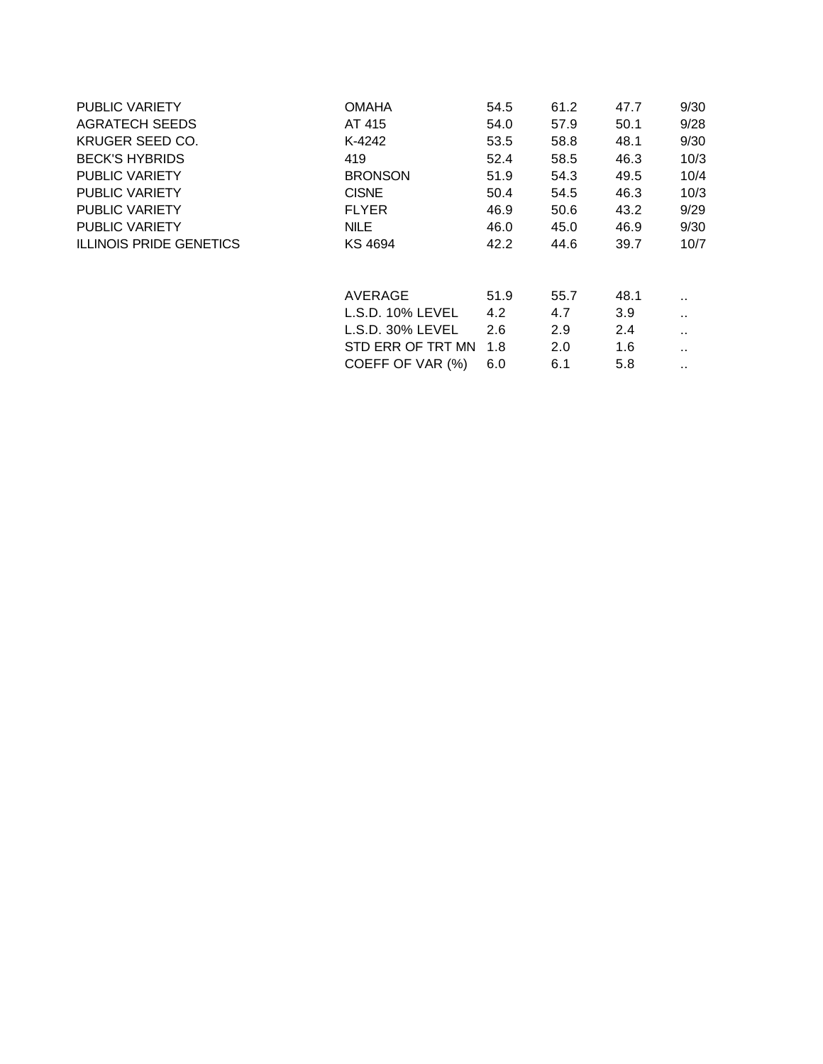| <b>PUBLIC VARIETY</b>          | <b>OMAHA</b>         | 54.5 | 61.2 | 47.7 | 9/30                 |
|--------------------------------|----------------------|------|------|------|----------------------|
| <b>AGRATECH SEEDS</b>          | AT 415               | 54.0 | 57.9 | 50.1 | 9/28                 |
| KRUGER SEED CO.                | K-4242               | 53.5 | 58.8 | 48.1 | 9/30                 |
| <b>BECK'S HYBRIDS</b>          | 419                  | 52.4 | 58.5 | 46.3 | 10/3                 |
| <b>PUBLIC VARIETY</b>          | <b>BRONSON</b>       | 51.9 | 54.3 | 49.5 | 10/4                 |
| <b>PUBLIC VARIETY</b>          | <b>CISNE</b>         | 50.4 | 54.5 | 46.3 | 10/3                 |
| <b>PUBLIC VARIETY</b>          | <b>FLYER</b>         | 46.9 | 50.6 | 43.2 | 9/29                 |
| <b>PUBLIC VARIETY</b>          | <b>NILE</b>          | 46.0 | 45.0 | 46.9 | 9/30                 |
| <b>ILLINOIS PRIDE GENETICS</b> | <b>KS 4694</b>       | 42.2 | 44.6 | 39.7 | 10/7                 |
|                                | AVERAGE              | 51.9 | 55.7 | 48.1 |                      |
|                                | $L.S.D.$ 10% $LEVEL$ | 4.2  | 4.7  | 3.9  |                      |
|                                | $L.S.D. 30\% LEVEL$  | 2.6  | 2.9  | 2.4  | $\ddot{\phantom{0}}$ |
|                                | STD ERR OF TRT MN    | 1.8  | 2.0  | 1.6  |                      |
|                                | COEFF OF VAR (%)     | 6.0  | 6.1  | 5.8  |                      |
|                                |                      |      |      |      |                      |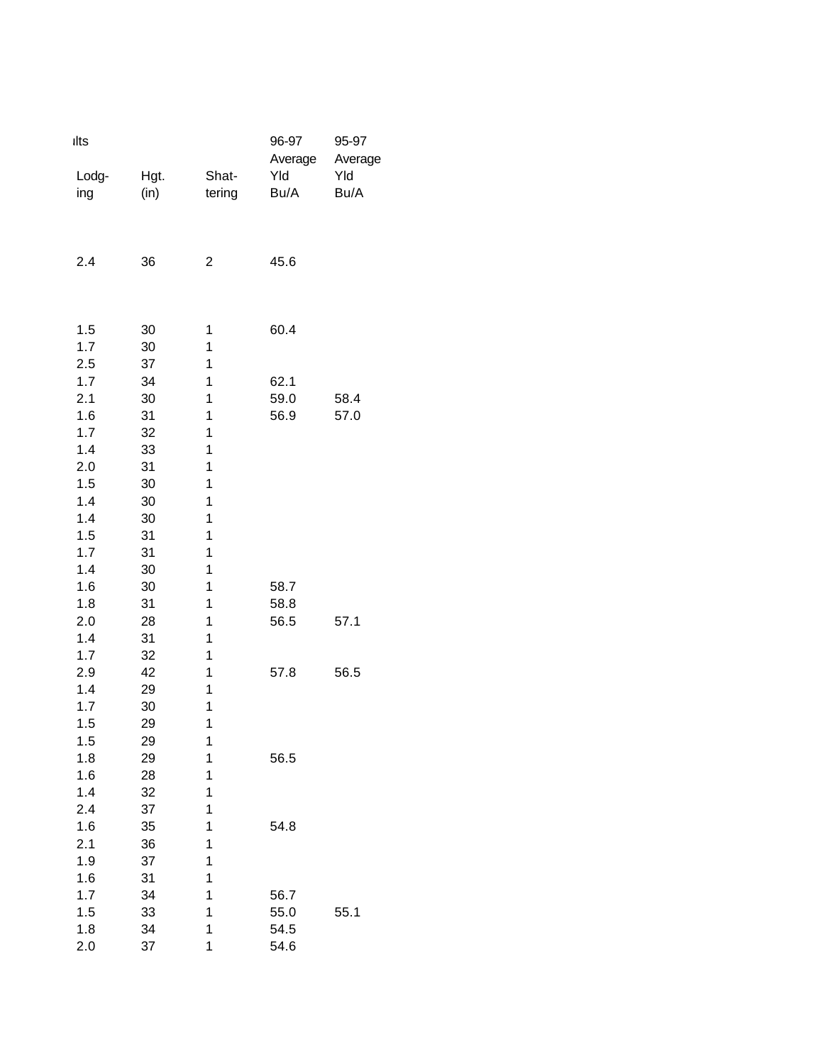| ılts  |      |                         | 96-97<br>Average | 95-97<br>Average |
|-------|------|-------------------------|------------------|------------------|
| Lodg- | Hgt. | Shat-                   | Yld              | Yld              |
| ing   | (in) | tering                  | Bu/A             | Bu/A             |
|       |      |                         |                  |                  |
|       |      |                         |                  |                  |
|       |      |                         |                  |                  |
| 2.4   | 36   | $\overline{\mathbf{c}}$ | 45.6             |                  |
|       |      |                         |                  |                  |
|       |      |                         |                  |                  |
| 1.5   | 30   | 1                       | 60.4             |                  |
| 1.7   | 30   | 1                       |                  |                  |
| 2.5   | 37   | 1                       |                  |                  |
| 1.7   | 34   | 1                       | 62.1             |                  |
| 2.1   | 30   | 1                       | 59.0             | 58.4             |
| 1.6   | 31   | 1                       | 56.9             | 57.0             |
| 1.7   | 32   | 1                       |                  |                  |
| 1.4   | 33   | 1                       |                  |                  |
| 2.0   | 31   | 1                       |                  |                  |
| 1.5   | 30   | 1                       |                  |                  |
| 1.4   | 30   | 1                       |                  |                  |
| 1.4   | 30   | 1                       |                  |                  |
| 1.5   | 31   | 1                       |                  |                  |
| 1.7   | 31   | 1                       |                  |                  |
| 1.4   | 30   | 1                       |                  |                  |
| 1.6   | 30   | 1                       | 58.7             |                  |
| 1.8   | 31   | 1                       | 58.8             |                  |
| 2.0   | 28   | 1                       | 56.5             | 57.1             |
| 1.4   | 31   | 1                       |                  |                  |
| 1.7   | 32   | 1                       |                  |                  |
| 2.9   | 42   | 1                       | 57.8             | 56.5             |
| 1.4   | 29   | 1                       |                  |                  |
| 1.7   | 30   | 1                       |                  |                  |
| 1.5   | 29   | 1                       |                  |                  |
| 1.5   | 29   | 1                       |                  |                  |
| 1.8   | 29   | 1                       | 56.5             |                  |
| 1.6   | 28   | 1                       |                  |                  |
| 1.4   | 32   | 1                       |                  |                  |
| 2.4   | 37   | 1                       |                  |                  |
| 1.6   | 35   | 1                       | 54.8             |                  |
| 2.1   | 36   | 1                       |                  |                  |
| 1.9   | 37   | 1                       |                  |                  |
| 1.6   | 31   | 1                       |                  |                  |
| 1.7   | 34   | 1                       | 56.7             |                  |
| 1.5   | 33   | 1                       | 55.0             | 55.1             |
| 1.8   | 34   | 1                       | 54.5             |                  |
| 2.0   | 37   | 1                       | 54.6             |                  |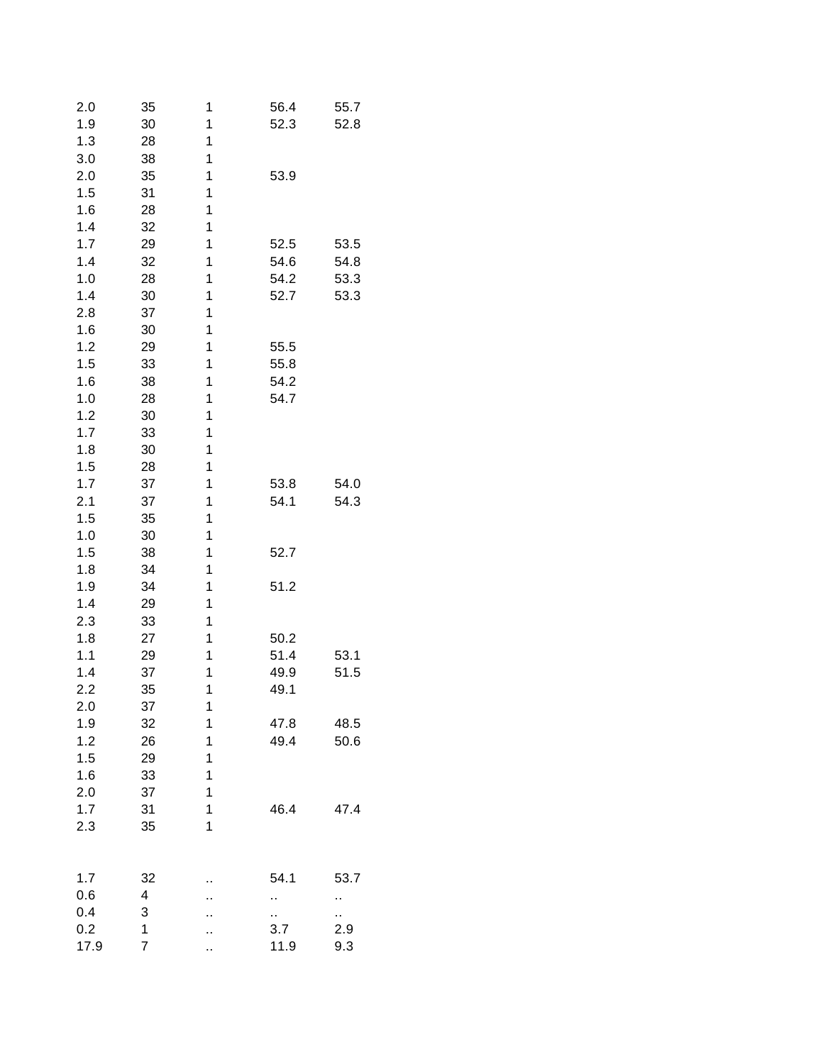| 2.0  | 35          | 1  | 56.4      | 55.7      |
|------|-------------|----|-----------|-----------|
| 1.9  | 30          | 1  | 52.3      | 52.8      |
| 1.3  | 28          | 1  |           |           |
| 3.0  | 38          | 1  |           |           |
| 2.0  | 35          | 1  | 53.9      |           |
| 1.5  | 31          | 1  |           |           |
| 1.6  | 28          | 1  |           |           |
| 1.4  | 32          | 1  |           |           |
| 1.7  | 29          | 1  | 52.5      | 53.5      |
| 1.4  | 32          | 1  | 54.6      | 54.8      |
| 1.0  | 28          | 1  | 54.2      | 53.3      |
| 1.4  | 30          | 1  | 52.7      | 53.3      |
|      |             | 1  |           |           |
| 2.8  | 37          |    |           |           |
| 1.6  | 30          | 1  |           |           |
| 1.2  | 29          | 1  | 55.5      |           |
| 1.5  | 33          | 1  | 55.8      |           |
| 1.6  | 38          | 1  | 54.2      |           |
| 1.0  | 28          | 1  | 54.7      |           |
| 1.2  | 30          | 1  |           |           |
| 1.7  | 33          | 1  |           |           |
| 1.8  | 30          | 1  |           |           |
| 1.5  | 28          | 1  |           |           |
| 1.7  | 37          | 1  | 53.8      | 54.0      |
| 2.1  | 37          | 1  | 54.1      | 54.3      |
| 1.5  | 35          | 1  |           |           |
| 1.0  | 30          | 1  |           |           |
| 1.5  | 38          | 1  | 52.7      |           |
| 1.8  | 34          | 1  |           |           |
| 1.9  | 34          | 1  | 51.2      |           |
| 1.4  | 29          | 1  |           |           |
| 2.3  | 33          | 1  |           |           |
| 1.8  | 27          | 1  | 50.2      |           |
| 1.1  | 29          | 1  | 51.4      | 53.1      |
| 1.4  | 37          | 1  | 49.9      | 51.5      |
| 2.2  | 35          | 1  | 49.1      |           |
| 2.0  | 37          | 1  |           |           |
| 1.9  | 32          | 1  | 47.8      | 48.5      |
| 1.2  | 26          | 1  | 49.4      | 50.6      |
|      |             | 1  |           |           |
| 1.5  | 29          |    |           |           |
| 1.6  | 33          | 1  |           |           |
| 2.0  | 37          | 1  |           |           |
| 1.7  | 31          | 1  | 46.4      | 47.4      |
| 2.3  | 35          | 1  |           |           |
| 1.7  | 32          |    | 54.1      | 53.7      |
| 0.6  | 4           |    | .,        | ٠.        |
| 0.4  | 3           |    |           |           |
| 0.2  | $\mathbf 1$ |    | .,<br>3.7 | ٠.<br>2.9 |
| 17.9 | 7           |    | 11.9      | 9.3       |
|      |             | ., |           |           |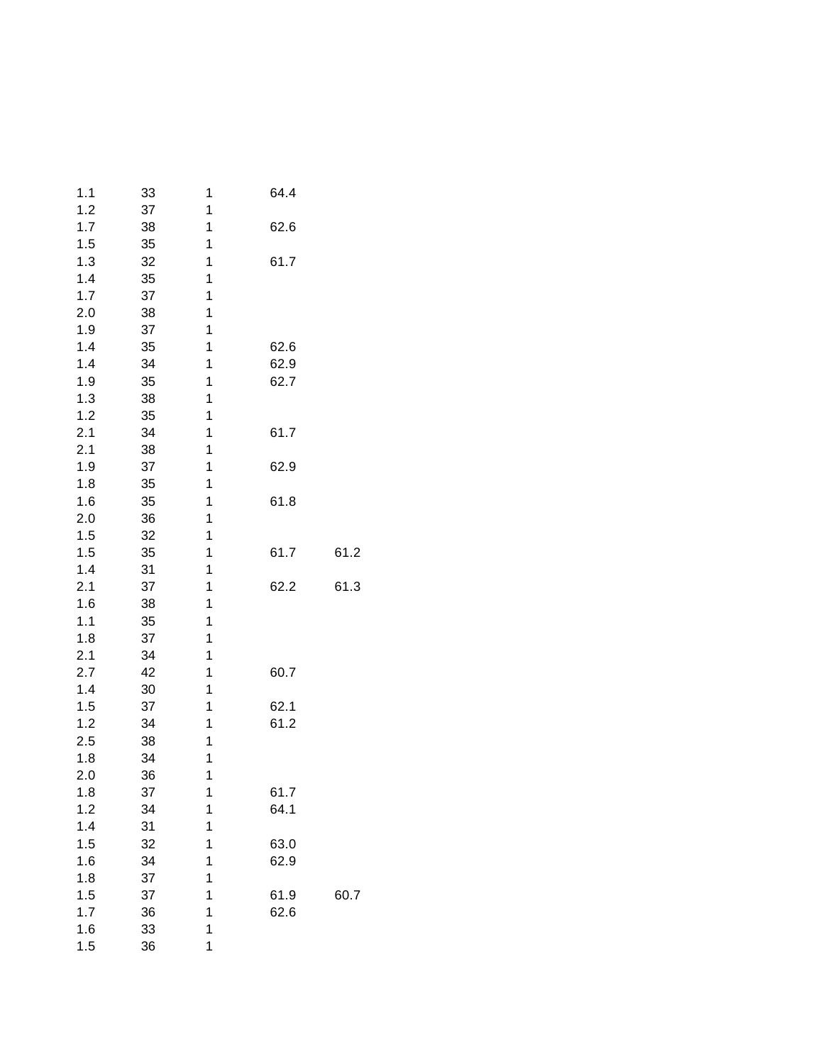| 1.1 | 33 | 1 | 64.4 |      |
|-----|----|---|------|------|
| 1.2 | 37 | 1 |      |      |
| 1.7 | 38 | 1 | 62.6 |      |
| 1.5 | 35 | 1 |      |      |
| 1.3 | 32 | 1 | 61.7 |      |
| 1.4 | 35 | 1 |      |      |
| 1.7 | 37 | 1 |      |      |
| 2.0 | 38 | 1 |      |      |
| 1.9 | 37 | 1 |      |      |
| 1.4 | 35 | 1 | 62.6 |      |
| 1.4 | 34 | 1 | 62.9 |      |
| 1.9 | 35 | 1 | 62.7 |      |
| 1.3 | 38 | 1 |      |      |
| 1.2 | 35 | 1 |      |      |
| 2.1 | 34 | 1 | 61.7 |      |
| 2.1 | 38 | 1 |      |      |
| 1.9 | 37 | 1 | 62.9 |      |
| 1.8 | 35 | 1 |      |      |
| 1.6 | 35 | 1 | 61.8 |      |
| 2.0 | 36 | 1 |      |      |
| 1.5 | 32 | 1 |      |      |
| 1.5 | 35 | 1 | 61.7 | 61.2 |
| 1.4 | 31 | 1 |      |      |
| 2.1 | 37 | 1 | 62.2 | 61.3 |
| 1.6 | 38 | 1 |      |      |
| 1.1 | 35 | 1 |      |      |
| 1.8 | 37 | 1 |      |      |
| 2.1 | 34 | 1 |      |      |
| 2.7 | 42 | 1 | 60.7 |      |
| 1.4 | 30 | 1 |      |      |
| 1.5 | 37 | 1 | 62.1 |      |
| 1.2 | 34 | 1 | 61.2 |      |
| 2.5 | 38 | 1 |      |      |
| 1.8 | 34 | 1 |      |      |
| 2.0 | 36 | 1 |      |      |
| 1.8 | 37 | 1 | 61.7 |      |
| 1.2 | 34 | 1 | 64.1 |      |
| 1.4 | 31 | 1 |      |      |
| 1.5 | 32 | 1 | 63.0 |      |
| 1.6 | 34 | 1 | 62.9 |      |
| 1.8 | 37 | 1 |      |      |
| 1.5 | 37 | 1 | 61.9 | 60.7 |
| 1.7 | 36 | 1 | 62.6 |      |
| 1.6 | 33 | 1 |      |      |
| 1.5 | 36 | 1 |      |      |
|     |    |   |      |      |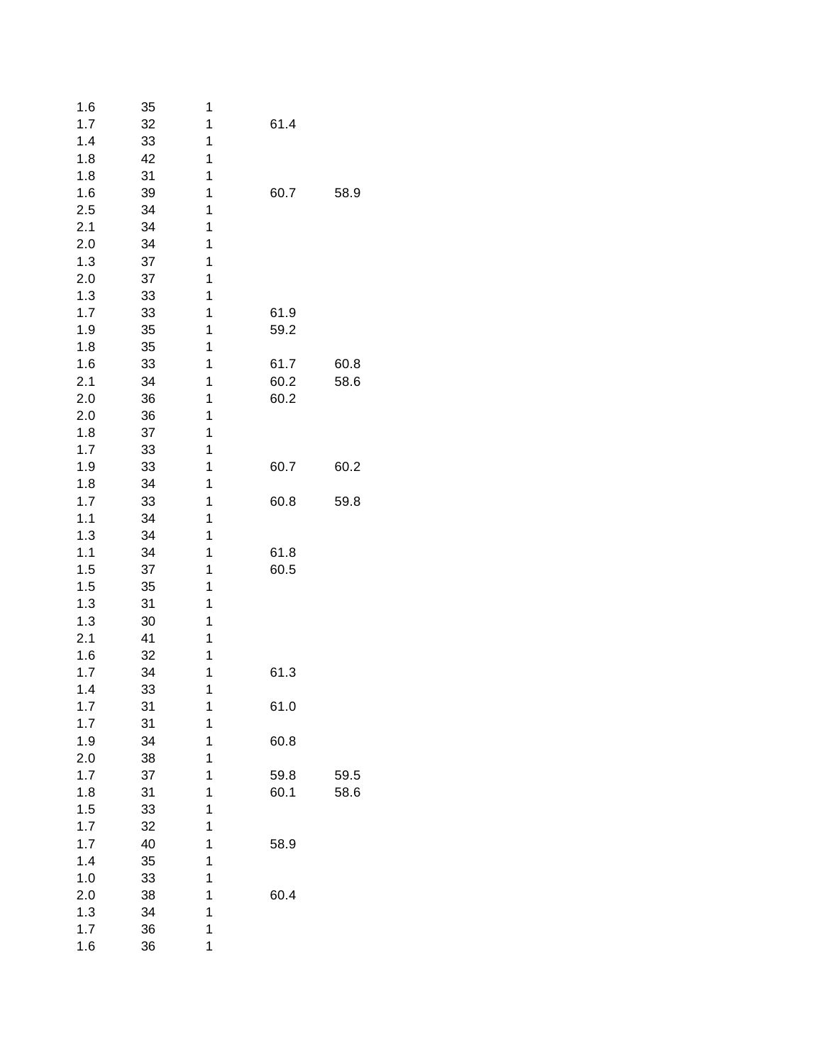| 1.6 | 35 | 1 |      |      |
|-----|----|---|------|------|
| 1.7 | 32 | 1 | 61.4 |      |
| 1.4 | 33 | 1 |      |      |
| 1.8 | 42 | 1 |      |      |
| 1.8 | 31 | 1 |      |      |
| 1.6 | 39 | 1 | 60.7 | 58.9 |
| 2.5 | 34 | 1 |      |      |
| 2.1 | 34 | 1 |      |      |
| 2.0 | 34 | 1 |      |      |
| 1.3 | 37 | 1 |      |      |
| 2.0 | 37 | 1 |      |      |
|     |    | 1 |      |      |
| 1.3 | 33 | 1 |      |      |
| 1.7 | 33 |   | 61.9 |      |
| 1.9 | 35 | 1 | 59.2 |      |
| 1.8 | 35 | 1 |      |      |
| 1.6 | 33 | 1 | 61.7 | 60.8 |
| 2.1 | 34 | 1 | 60.2 | 58.6 |
| 2.0 | 36 | 1 | 60.2 |      |
| 2.0 | 36 | 1 |      |      |
| 1.8 | 37 | 1 |      |      |
| 1.7 | 33 | 1 |      |      |
| 1.9 | 33 | 1 | 60.7 | 60.2 |
| 1.8 | 34 | 1 |      |      |
| 1.7 | 33 | 1 | 60.8 | 59.8 |
| 1.1 | 34 | 1 |      |      |
| 1.3 | 34 | 1 |      |      |
| 1.1 | 34 | 1 | 61.8 |      |
| 1.5 | 37 | 1 | 60.5 |      |
| 1.5 | 35 | 1 |      |      |
| 1.3 | 31 | 1 |      |      |
| 1.3 | 30 | 1 |      |      |
| 2.1 | 41 | 1 |      |      |
| 1.6 | 32 | 1 |      |      |
| 1.7 | 34 | 1 | 61.3 |      |
| 1.4 | 33 | 1 |      |      |
| 1.7 | 31 | 1 | 61.0 |      |
| 1.7 | 31 | 1 |      |      |
| 1.9 | 34 | 1 | 60.8 |      |
| 2.0 | 38 | 1 |      |      |
| 1.7 | 37 | 1 | 59.8 | 59.5 |
| 1.8 | 31 | 1 | 60.1 | 58.6 |
| 1.5 | 33 | 1 |      |      |
| 1.7 |    | 1 |      |      |
|     | 32 |   |      |      |
| 1.7 | 40 | 1 | 58.9 |      |
| 1.4 | 35 | 1 |      |      |
| 1.0 | 33 | 1 |      |      |
| 2.0 | 38 | 1 | 60.4 |      |
| 1.3 | 34 | 1 |      |      |
| 1.7 | 36 | 1 |      |      |
| 1.6 | 36 | 1 |      |      |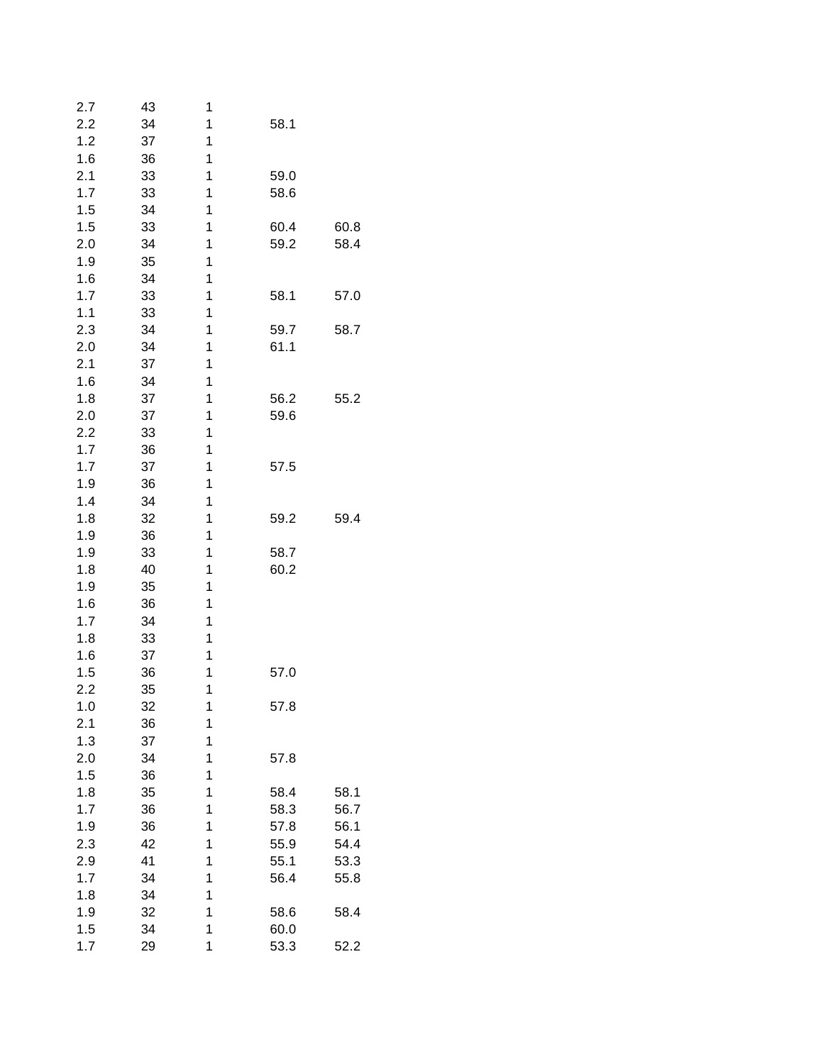| 2.7 | 43 | 1 |      |      |
|-----|----|---|------|------|
| 2.2 | 34 | 1 | 58.1 |      |
| 1.2 | 37 | 1 |      |      |
| 1.6 | 36 | 1 |      |      |
| 2.1 | 33 | 1 | 59.0 |      |
| 1.7 | 33 | 1 | 58.6 |      |
| 1.5 | 34 | 1 |      |      |
| 1.5 | 33 | 1 | 60.4 | 60.8 |
| 2.0 | 34 | 1 | 59.2 | 58.4 |
| 1.9 | 35 | 1 |      |      |
| 1.6 | 34 | 1 |      |      |
| 1.7 | 33 | 1 | 58.1 | 57.0 |
| 1.1 | 33 | 1 |      |      |
| 2.3 | 34 | 1 | 59.7 | 58.7 |
| 2.0 | 34 | 1 | 61.1 |      |
|     |    | 1 |      |      |
| 2.1 | 37 |   |      |      |
| 1.6 | 34 | 1 |      |      |
| 1.8 | 37 | 1 | 56.2 | 55.2 |
| 2.0 | 37 | 1 | 59.6 |      |
| 2.2 | 33 | 1 |      |      |
| 1.7 | 36 | 1 |      |      |
| 1.7 | 37 | 1 | 57.5 |      |
| 1.9 | 36 | 1 |      |      |
| 1.4 | 34 | 1 |      |      |
| 1.8 | 32 | 1 | 59.2 | 59.4 |
| 1.9 | 36 | 1 |      |      |
| 1.9 | 33 | 1 | 58.7 |      |
| 1.8 | 40 | 1 | 60.2 |      |
| 1.9 | 35 | 1 |      |      |
| 1.6 | 36 | 1 |      |      |
| 1.7 | 34 | 1 |      |      |
| 1.8 | 33 | 1 |      |      |
| 1.6 | 37 | 1 |      |      |
| 1.5 | 36 | 1 | 57.0 |      |
| 2.2 | 35 | 1 |      |      |
| 1.0 | 32 | 1 | 57.8 |      |
| 2.1 | 36 | 1 |      |      |
| 1.3 | 37 | 1 |      |      |
| 2.0 | 34 | 1 | 57.8 |      |
| 1.5 | 36 | 1 |      |      |
| 1.8 | 35 | 1 | 58.4 | 58.1 |
| 1.7 | 36 | 1 | 58.3 | 56.7 |
| 1.9 | 36 | 1 | 57.8 | 56.1 |
| 2.3 | 42 | 1 | 55.9 | 54.4 |
| 2.9 | 41 | 1 | 55.1 | 53.3 |
| 1.7 | 34 | 1 | 56.4 |      |
|     |    | 1 |      | 55.8 |
| 1.8 | 34 |   |      |      |
| 1.9 | 32 | 1 | 58.6 | 58.4 |
| 1.5 | 34 | 1 | 60.0 |      |
| 1.7 | 29 | 1 | 53.3 | 52.2 |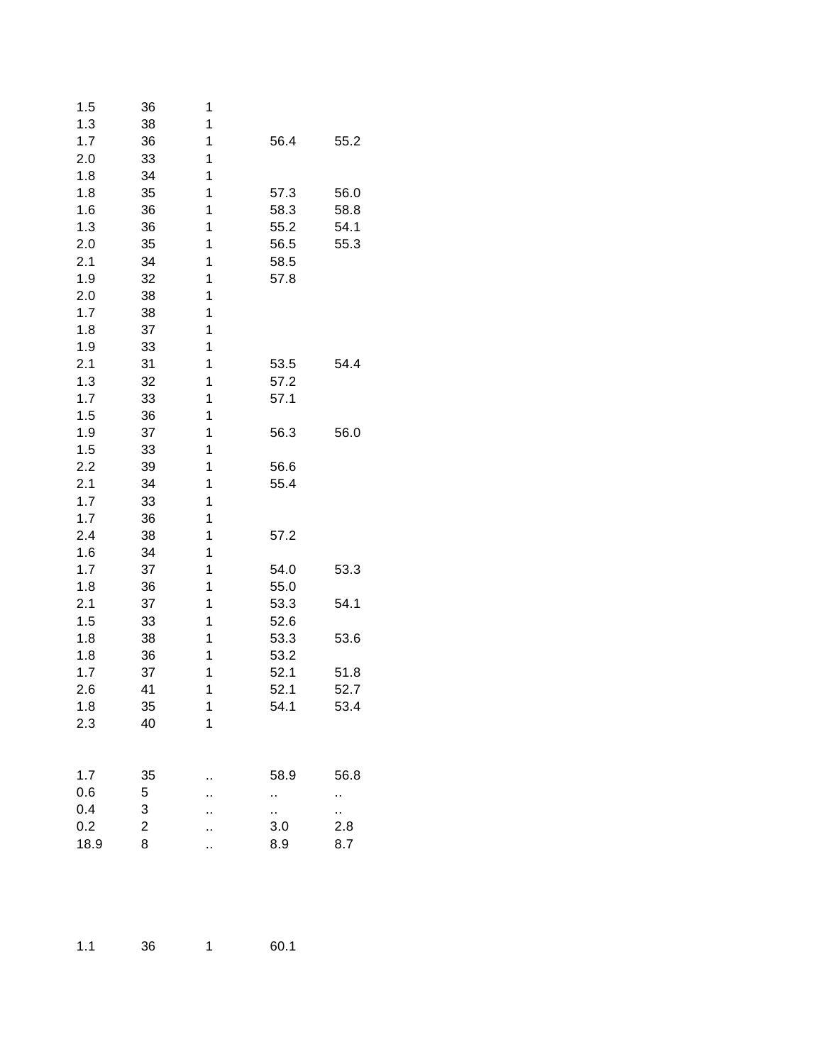| 1.5  | 36                  | 1 |      |      |
|------|---------------------|---|------|------|
| 1.3  | 38                  | 1 |      |      |
| 1.7  | 36                  | 1 | 56.4 | 55.2 |
| 2.0  | 33                  | 1 |      |      |
| 1.8  | 34                  | 1 |      |      |
| 1.8  | 35                  | 1 | 57.3 | 56.0 |
| 1.6  | 36                  | 1 | 58.3 | 58.8 |
| 1.3  | 36                  | 1 | 55.2 | 54.1 |
| 2.0  | 35                  | 1 | 56.5 | 55.3 |
| 2.1  | 34                  | 1 | 58.5 |      |
| 1.9  | 32                  | 1 | 57.8 |      |
| 2.0  | 38                  | 1 |      |      |
| 1.7  | 38                  | 1 |      |      |
| 1.8  | 37                  | 1 |      |      |
| 1.9  | 33                  | 1 |      |      |
| 2.1  | 31                  | 1 | 53.5 | 54.4 |
| 1.3  | 32                  | 1 | 57.2 |      |
| 1.7  | 33                  | 1 | 57.1 |      |
| 1.5  | 36                  | 1 |      |      |
| 1.9  | 37                  | 1 | 56.3 | 56.0 |
| 1.5  | 33                  | 1 |      |      |
| 2.2  | 39                  | 1 | 56.6 |      |
| 2.1  | 34                  | 1 | 55.4 |      |
| 1.7  | 33                  | 1 |      |      |
| 1.7  | 36                  | 1 |      |      |
| 2.4  | 38                  | 1 | 57.2 |      |
| 1.6  | 34                  | 1 |      |      |
| 1.7  | 37                  | 1 | 54.0 | 53.3 |
| 1.8  | 36                  | 1 | 55.0 |      |
| 2.1  | 37                  | 1 | 53.3 | 54.1 |
| 1.5  | 33                  | 1 | 52.6 |      |
| 1.8  | 38                  | 1 | 53.3 | 53.6 |
| 1.8  | 36                  | 1 | 53.2 |      |
| 1.7  | 37                  | 1 | 52.1 | 51.8 |
| 2.6  | 41                  | 1 | 52.1 | 52.7 |
| 1.8  | 35                  | 1 | 54.1 | 53.4 |
| 2.3  | 40                  | 1 |      |      |
|      |                     |   |      |      |
| 1.7  | 35                  |   | 58.9 | 56.8 |
| 0.6  | 5                   |   | .,   |      |
| 0.4  | 3                   |   | .,   |      |
| 0.2  | $\overline{c}$<br>8 |   | 3.0  | 2.8  |
| 18.9 |                     |   | 8.9  | 8.7  |
|      |                     |   |      |      |

1.1 36 1 60.1